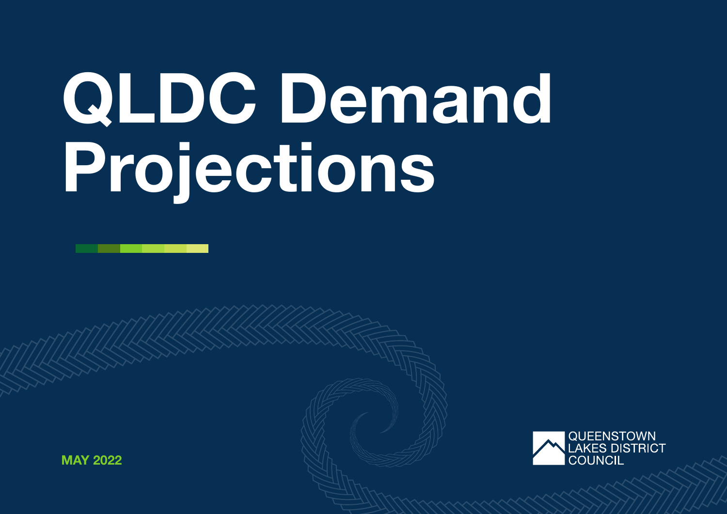# QLDC Demand Projections



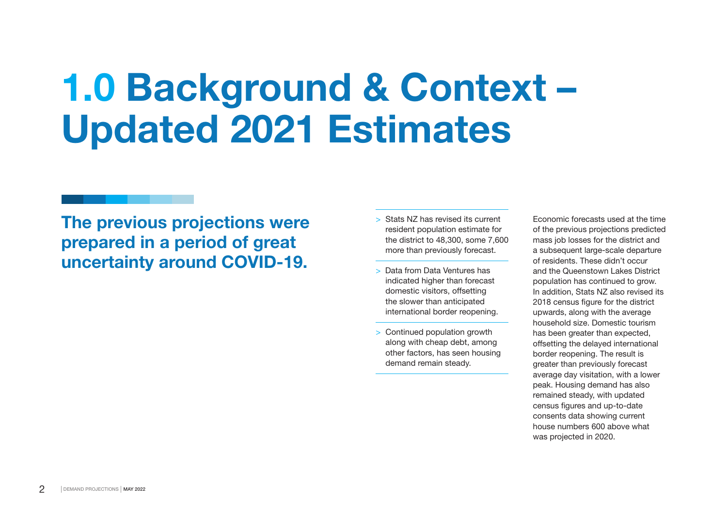### 1.0 Background & Context – Updated 2021 Estimates

The previous projections were prepared in a period of great uncertainty around COVID-19.

- > Stats NZ has revised its current resident population estimate for the district to 48,300, some 7,600 more than previously forecast.
- > Data from Data Ventures has indicated higher than forecast domestic visitors, offsetting the slower than anticipated international border reopening.
- > Continued population growth along with cheap debt, among other factors, has seen housing demand remain steady.

Economic forecasts used at the time of the previous projections predicted mass job losses for the district and a subsequent large-scale departure of residents. These didn't occur and the Queenstown Lakes District population has continued to grow. In addition, Stats NZ also revised its 2018 census figure for the district upwards, along with the average household size. Domestic tourism has been greater than expected. offsetting the delayed international border reopening. The result is greater than previously forecast average day visitation, with a lower peak. Housing demand has also remained steady, with updated census figures and up-to-date consents data showing current house numbers 600 above what was projected in 2020.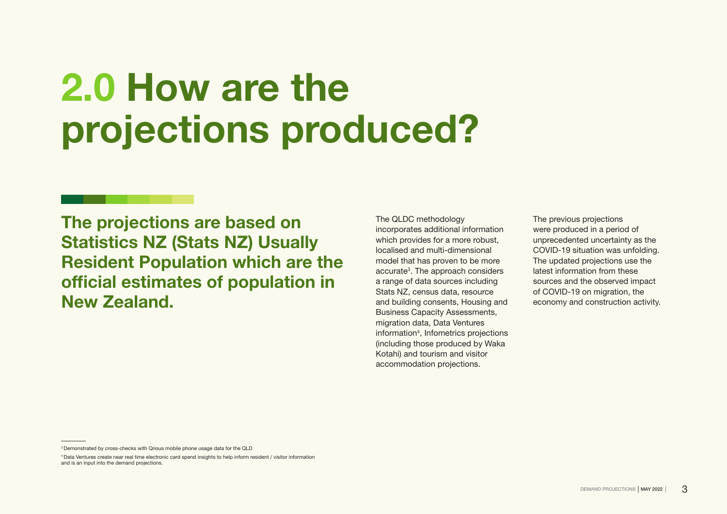# 2.0 How are the projections produced?

The projections are based on Statistics NZ (Stats NZ) Usually Resident Population which are the official estimates of population in New Zealand.

The QLDC methodology incorporates additional information which provides for a more robust. localised and multi-dimensional model that has proven to be more accurate<sup>3</sup>. The approach considers a range of data sources including Stats NZ, census data, resource and building consents, Housing and Business Capacity Assessments, migration data, Data Ventures information4 , Infometrics projections (including those produced by Waka Kotahi) and tourism and visitor accommodation projections.

The previous projections were produced in a period of unprecedented uncertainty as the COVID-19 situation was unfolding. The updated projections use the latest information from these sources and the observed impact of COVID-19 on migration, the economy and construction activity.

<sup>3</sup> Demonstrated by cross-checks with Qrious mobile phone usage data for the QLD

<sup>4</sup> Data Ventures create near real time electronic card spend insights to help inform resident / visitor information and is an input into the demand projections.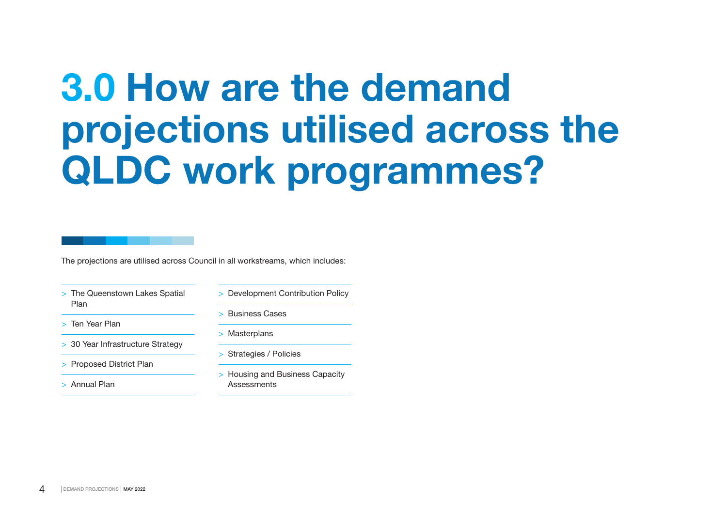# 3.0 How are the demand projections utilised across the QLDC work programmes?

The projections are utilised across Council in all workstreams, which includes:

- > The Queenstown Lakes Spatial Plan
- > Ten Year Plan
- > 30 Year Infrastructure Strategy
- > Proposed District Plan
- > Annual Plan
- > Development Contribution Policy
- > Business Cases
- > Masterplans
- > Strategies / Policies
- > Housing and Business Capacity **Assessments**